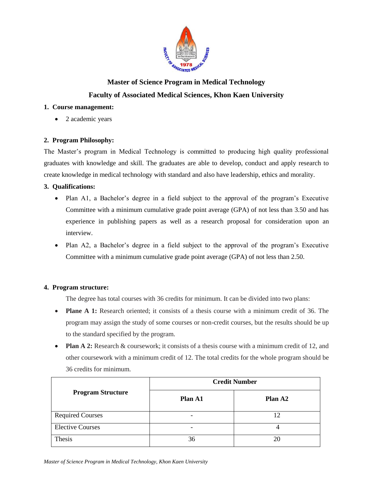

# **Master of Science Program in Medical Technology Faculty of Associated Medical Sciences, Khon Kaen University**

## **1. Course management:**

• 2 academic years

# **2. Program Philosophy:**

The Master's program in Medical Technology is committed to producing high quality professional graduates with knowledge and skill. The graduates are able to develop, conduct and apply research to create knowledge in medical technology with standard and also have leadership, ethics and morality.

# **3. Qualifications:**

- Plan A1, a Bachelor's degree in a field subject to the approval of the program's Executive Committee with a minimum cumulative grade point average (GPA) of not less than 3.50 and has experience in publishing papers as well as a research proposal for consideration upon an interview.
- Plan A2, a Bachelor's degree in a field subject to the approval of the program's Executive Committee with a minimum cumulative grade point average (GPA) of not less than 2.50.

# **4. Program structure:**

The degree has total courses with 36 credits for minimum. It can be divided into two plans:

- **Plane A 1:** Research oriented; it consists of a thesis course with a minimum credit of 36. The program may assign the study of some courses or non-credit courses, but the results should be up to the standard specified by the program.
- **Plan A 2:** Research & coursework; it consists of a thesis course with a minimum credit of 12, and other coursework with a minimum credit of 12. The total credits for the whole program should be 36 credits for minimum.

|                          | <b>Credit Number</b> |                     |  |
|--------------------------|----------------------|---------------------|--|
| <b>Program Structure</b> | Plan A1              | Plan A <sub>2</sub> |  |
| <b>Required Courses</b>  |                      |                     |  |
| <b>Elective Courses</b>  |                      |                     |  |
| Thesis                   | 36                   | 20                  |  |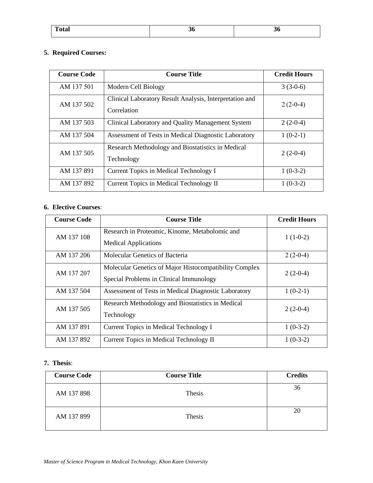| <b>Total</b> | 50 | -56 |
|--------------|----|-----|
|              |    |     |

# **5. Required Courses:**

| <b>Course Code</b> | <b>Course Title</b>                                                    | <b>Credit Hours</b> |
|--------------------|------------------------------------------------------------------------|---------------------|
| AM 137 501         | Modern Cell Biology                                                    | $3(3-0-6)$          |
| AM 137 502         | Clinical Laboratory Result Analysis, Interpretation and<br>Correlation | $2(2-0-4)$          |
| AM 137 503         | Clinical Laboratory and Quality Management System                      | $2(2-0-4)$          |
| AM 137 504         | Assessment of Tests in Medical Diagnostic Laboratory                   | $1(0-2-1)$          |
| AM 137 505         | Research Methodology and Biostatistics in Medical<br>Technology        | $2(2-0-4)$          |
| AM 137 891         | Current Topics in Medical Technology I                                 | $1(0-3-2)$          |
| AM 137 892         | Current Topics in Medical Technology II                                | $1(0-3-2)$          |

## **6. Elective Courses**:

| <b>Course Code</b> | <b>Course Title</b>                                                                               | <b>Credit Hours</b> |
|--------------------|---------------------------------------------------------------------------------------------------|---------------------|
| AM 137 108         | Research in Proteomic, Kinome, Metabolomic and<br><b>Medical Applications</b>                     | $1(1-0-2)$          |
| AM 137 206         | Molecular Genetics of Bacteria                                                                    | $2(2-0-4)$          |
| AM 137 207         | Molecular Genetics of Major Histocompatibility Complex<br>Special Problems in Clinical Immunology | $2(2-0-4)$          |
| AM 137 504         | Assessment of Tests in Medical Diagnostic Laboratory                                              | $1(0-2-1)$          |
| AM 137 505         | Research Methodology and Biostatistics in Medical<br>Technology                                   | $2(2-0-4)$          |
| AM 137 891         | Current Topics in Medical Technology I                                                            | $1(0-3-2)$          |
| AM 137 892         | Current Topics in Medical Technology II                                                           | $1(0-3-2)$          |

# **7. Thesis**:

| <b>Course Code</b> | <b>Course Title</b> | <b>Credits</b> |
|--------------------|---------------------|----------------|
| AM 137 898         | Thesis              | 36             |
| AM 137 899         | Thesis              | 20             |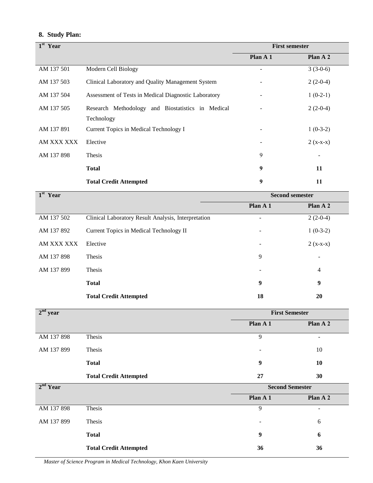# **8. Study Plan:**

| $1st$ Year |                                                      | <b>First semester</b> |            |
|------------|------------------------------------------------------|-----------------------|------------|
|            |                                                      | Plan A 1              | Plan A 2   |
| AM 137 501 | Modern Cell Biology                                  |                       | $3(3-0-6)$ |
| AM 137 503 | Clinical Laboratory and Quality Management System    |                       | $2(2-0-4)$ |
| AM 137 504 | Assessment of Tests in Medical Diagnostic Laboratory |                       | $1(0-2-1)$ |
| AM 137 505 | Research Methodology and Biostatistics in Medical    |                       | $2(2-0-4)$ |
|            | Technology                                           |                       |            |
| AM 137 891 | Current Topics in Medical Technology I               |                       | $1(0-3-2)$ |
| AM XXX XXX | Elective                                             |                       | $2(x-x-x)$ |
| AM 137 898 | Thesis                                               | 9                     |            |
|            | <b>Total</b>                                         | 9                     | 11         |
|            | <b>Total Credit Attempted</b>                        | 9                     | 11         |
| $1st$ Year | <b>Second semester</b>                               |                       |            |

| $\sim$ $\sim$ $\sim$ $\sim$ |                                                     | Decoma Demodel |            |  |
|-----------------------------|-----------------------------------------------------|----------------|------------|--|
|                             |                                                     | Plan $A_1$     | Plan A 2   |  |
| AM 137 502                  | Clinical Laboratory Result Analysis, Interpretation |                | $2(2-0-4)$ |  |
| AM 137 892                  | Current Topics in Medical Technology II             | -              | $1(0-3-2)$ |  |
| AM XXX XXX                  | Elective                                            |                | $2(x-x-x)$ |  |
| AM 137 898                  | Thesis                                              | 9              |            |  |
| AM 137 899                  | Thesis                                              |                | 4          |  |
|                             | <b>Total</b>                                        | 9              | 9          |  |
|                             | <b>Total Credit Attempted</b>                       | 18             | 20         |  |

| $2nd$ year           |                               | <b>First Semester</b>    |                   |
|----------------------|-------------------------------|--------------------------|-------------------|
|                      |                               | Plan A 1                 | Plan A 2          |
| AM 137 898           | Thesis                        | 9                        | $\qquad \qquad -$ |
| AM 137 899           | Thesis                        |                          | 10                |
|                      | <b>Total</b>                  | 9                        | 10                |
|                      | <b>Total Credit Attempted</b> | 27                       | 30                |
| 2 <sup>nd</sup> Year |                               | <b>Second Semester</b>   |                   |
|                      |                               | Plan A 1                 | Plan A 2          |
| AM 137 898           | Thesis                        | 9                        |                   |
| AM 137 899           | Thesis                        | $\overline{\phantom{0}}$ | 6                 |
|                      | <b>Total</b>                  | 9                        | 6                 |
|                      | <b>Total Credit Attempted</b> | 36                       | 36                |

*Master of Science Program in Medical Technology, Khon Kaen University*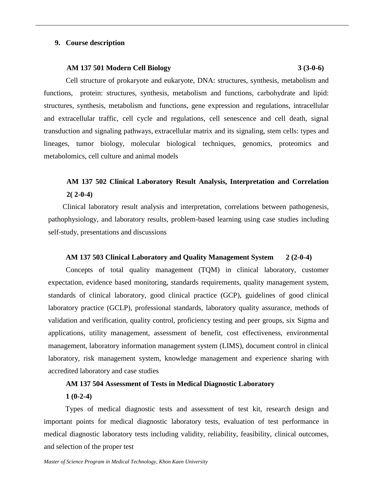## **9. Course description**

#### **AM 137 501 Modern Cell Biology 3 (3-0-6)**

Cell structure of prokaryote and eukaryote, DNA: structures, synthesis, metabolism and functions, protein: structures, synthesis, metabolism and functions, carbohydrate and lipid: structures, synthesis, metabolism and functions, gene expression and regulations, intracellular and extracellular traffic, cell cycle and regulations, cell senescence and cell death, signal transduction and signaling pathways, extracellular matrix and its signaling, stem cells: types and lineages, tumor biology, molecular biological techniques, genomics, proteomics and metabolomics, cell culture and animal models

# **AM 137 502 Clinical Laboratory Result Analysis, Interpretation and Correlation 2( 2-0-4)**

Clinical laboratory result analysis and interpretation, correlations between pathogenesis, pathophysiology, and laboratory results, problem-based learning using case studies including self-study, presentations and discussions

#### **AM 137 503 Clinical Laboratory and Quality Management System 2 (2-0-4)**

Concepts of total quality management (TQM) in clinical laboratory, customer expectation, evidence based monitoring, standards requirements, quality management system, standards of clinical laboratory, good clinical practice (GCP), guidelines of good clinical laboratory practice (GCLP), professional standards, laboratory quality assurance, methods of validation and verification, quality control, proficiency testing and peer groups, six Sigma and applications, utility management, assessment of benefit, cost effectiveness, environmental management, laboratory information management system (LIMS), document control in clinical laboratory, risk management system, knowledge management and experience sharing with accredited laboratory and case studies

### **AM 137 504 Assessment of Tests in Medical Diagnostic Laboratory**

#### **1 (0-2-4)**

Types of medical diagnostic tests and assessment of test kit, research design and important points for medical diagnostic laboratory tests, evaluation of test performance in medical diagnostic laboratory tests including validity, reliability, feasibility, clinical outcomes, and selection of the proper test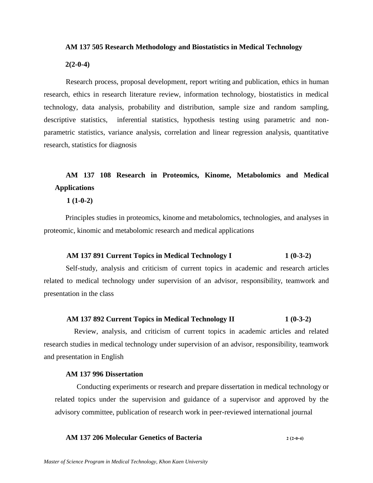#### **AM 137 505 Research Methodology and Biostatistics in Medical Technology**

#### **2(2-0-4)**

Research process, proposal development, report writing and publication, ethics in human research, ethics in research literature review, information technology, biostatistics in medical technology, data analysis, probability and distribution, sample size and random sampling, descriptive statistics, inferential statistics, hypothesis testing using parametric and nonparametric statistics, variance analysis, correlation and linear regression analysis, quantitative research, statistics for diagnosis

# **AM 137 108 Research in Proteomics, Kinome, Metabolomics and Medical Applications**

### **1 (1-0-2)**

Principles studies in proteomics, kinome and metabolomics, technologies, and analyses in proteomic, kinomic and metabolomic research and medical applications

### **AM 137 891 Current Topics in Medical Technology I 1 (0-3-2)**

Self-study, analysis and criticism of current topics in academic and research articles related to medical technology under supervision of an advisor, responsibility, teamwork and presentation in the class

#### **AM 137 892 Current Topics in Medical Technology II 1 (0-3-2)**

Review, analysis, and criticism of current topics in academic articles and related research studies in medical technology under supervision of an advisor, responsibility, teamwork and presentation in English

#### **AM 137 996 Dissertation**

Conducting experiments or research and prepare dissertation in medical technology or related topics under the supervision and guidance of a supervisor and approved by the advisory committee, publication of research work in peer-reviewed international journal

# **AM 137 206 Molecular Genetics of Bacteria 2 (2-0-4)**